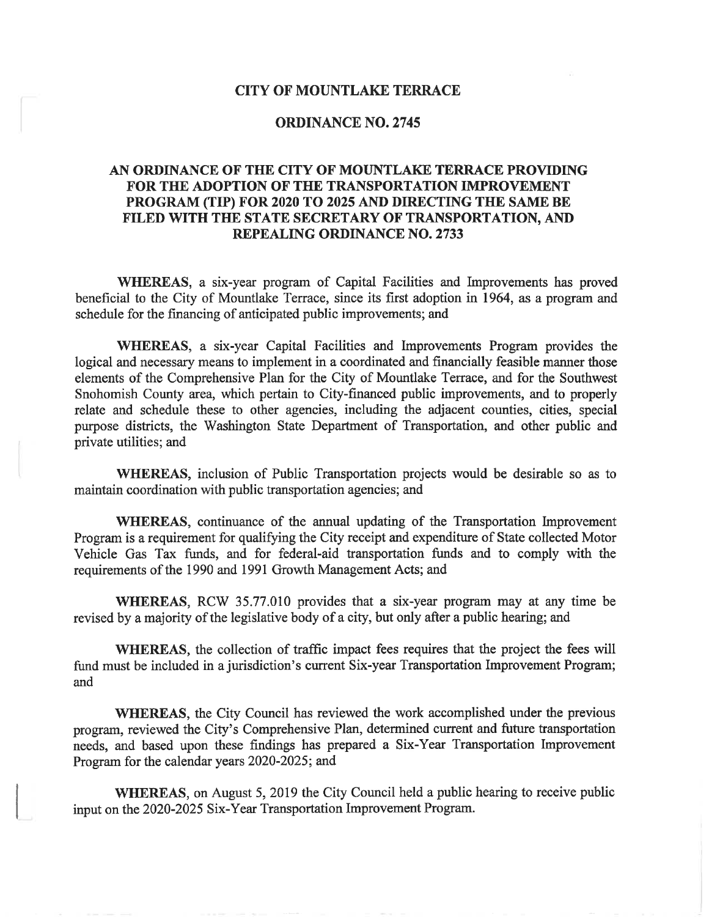#### **CITY OF MOUNTLAKE TERRACE**

### **ORDINANCE NO. 2745**

## AN ORDINANCE OF THE CITY OF MOUNTLAKE TERRACE PROVIDING FOR THE ADOPTION OF THE TRANSPORTATION IMPROVEMENT PROGRAM (TIP) FOR 2020 TO 2025 AND DIRECTING THE SAME BE FILED WITH THE STATE SECRETARY OF TRANSPORTATION, AND **REPEALING ORDINANCE NO. 2733**

WHEREAS, a six-year program of Capital Facilities and Improvements has proved beneficial to the City of Mountlake Terrace, since its first adoption in 1964, as a program and schedule for the financing of anticipated public improvements; and

WHEREAS, a six-year Capital Facilities and Improvements Program provides the logical and necessary means to implement in a coordinated and financially feasible manner those elements of the Comprehensive Plan for the City of Mountlake Terrace, and for the Southwest Snohomish County area, which pertain to City-financed public improvements, and to properly relate and schedule these to other agencies, including the adjacent counties, cities, special purpose districts, the Washington State Department of Transportation, and other public and private utilities; and

WHEREAS, inclusion of Public Transportation projects would be desirable so as to maintain coordination with public transportation agencies; and

**WHEREAS**, continuance of the annual updating of the Transportation Improvement Program is a requirement for qualifying the City receipt and expenditure of State collected Motor Vehicle Gas Tax funds, and for federal-aid transportation funds and to comply with the requirements of the 1990 and 1991 Growth Management Acts; and

WHEREAS, RCW 35.77.010 provides that a six-year program may at any time be revised by a majority of the legislative body of a city, but only after a public hearing; and

WHEREAS, the collection of traffic impact fees requires that the project the fees will fund must be included in a jurisdiction's current Six-year Transportation Improvement Program; and

WHEREAS, the City Council has reviewed the work accomplished under the previous program, reviewed the City's Comprehensive Plan, determined current and future transportation needs, and based upon these findings has prepared a Six-Year Transportation Improvement Program for the calendar years 2020-2025; and

**WHEREAS,** on August 5, 2019 the City Council held a public hearing to receive public input on the 2020-2025 Six-Year Transportation Improvement Program.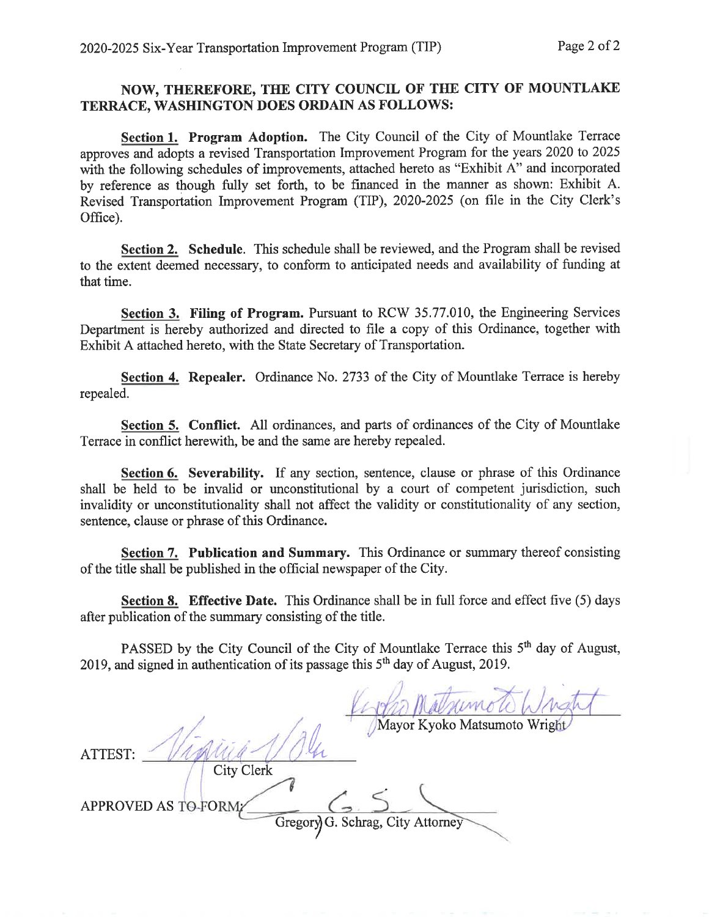# NOW, THEREFORE, THE CITY COUNCIL OF THE CITY OF MOUNTLAKE TERRACE, WASHINGTON DOES ORDAIN AS FOLLOWS:

Section 1. Program Adoption. The City Council of the City of Mountlake Terrace approves and adopts a revised Transportation Improvement Program for the years 2020 to 2025 with the following schedules of improvements, attached hereto as "Exhibit A" and incorporated by reference as though fully set forth, to be financed in the manner as shown: Exhibit A. Revised Transportation Improvement Program (TIP), 2020-2025 (on file in the City Clerk's Office).

Section 2. Schedule. This schedule shall be reviewed, and the Program shall be revised to the extent deemed necessary, to conform to anticipated needs and availability of funding at that time.

Section 3. Filing of Program. Pursuant to RCW 35.77.010, the Engineering Services Department is hereby authorized and directed to file a copy of this Ordinance, together with Exhibit A attached hereto, with the State Secretary of Transportation.

Section 4. Repealer. Ordinance No. 2733 of the City of Mountlake Terrace is hereby repealed.

Section 5. Conflict. All ordinances, and parts of ordinances of the City of Mountlake Terrace in conflict herewith, be and the same are hereby repealed.

Section 6. Severability. If any section, sentence, clause or phrase of this Ordinance shall be held to be invalid or unconstitutional by a court of competent jurisdiction, such invalidity or unconstitutionality shall not affect the validity or constitutionality of any section, sentence, clause or phrase of this Ordinance.

Section 7. Publication and Summary. This Ordinance or summary thereof consisting of the title shall be published in the official newspaper of the City.

Section 8. Effective Date. This Ordinance shall be in full force and effect five (5) days after publication of the summary consisting of the title.

PASSED by the City Council of the City of Mountlake Terrace this 5<sup>th</sup> day of August, 2019, and signed in authentication of its passage this 5<sup>th</sup> day of August, 2019.

Mayor Kyoko Matsumoto Wright ATTEST: **City Clerk APPROVED AS TO-FORM** Gregory G. Schrag, City Attorney